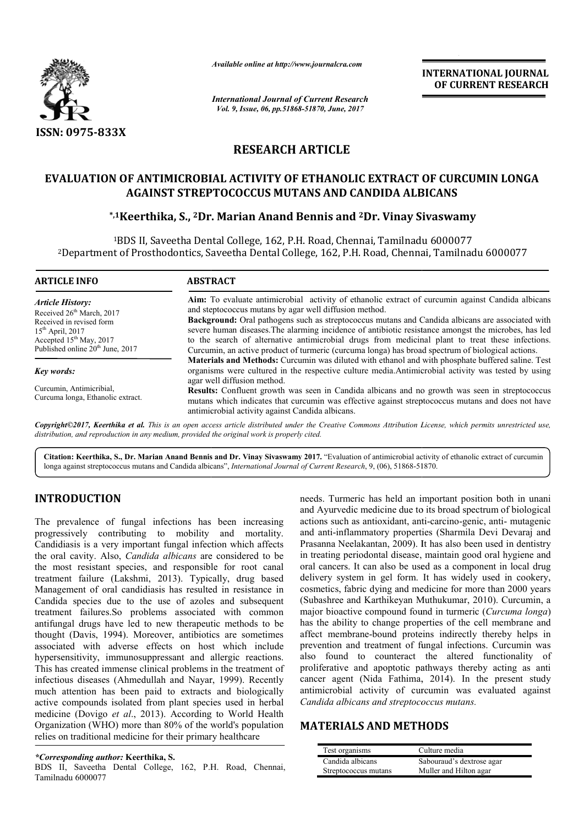

*Available online at http://www.journalcra.com*

*International Journal of Current Research Vol. 9, Issue, 06, pp.51868-51870, June, 2017*

**INTERNATIONAL JOURNAL OF CURRENT RESEARCH** 

# **RESEARCH ARTICLE**

# **EVALUATION OF ANTIMICROBIAL ACTIVITY OF ETHANOLIC EXTRACT OF CURCUMIN LONGA AGAINST STREPTOCOCCUS MUTANS AND CANDIDA ALBICANS N OF ANTIMICROBIAL ACTIVITY OF ETHANOLIC EXTRACT OF CURCU<br>AGAINST STREPTOCOCCUS MUTANS AND CANDIDA ALBICANS<br><sup>\*,1</sup>Keerthika, S., <sup>2</sup>Dr. Marian Anand Bennis and <sup>2</sup>Dr. Vinay Sivaswamy**

1BDS II, Saveetha Dental College, 162, P.H. Road, Chennai, Tamilnadu 6000077 <sup>1</sup>BDS II, Saveetha Dental College, 162, P.H. Road, Chennai, Tamilnadu 6000077<br>2Department of Prosthodontics, Saveetha Dental College, 162, P.H. Road, Chennai, Tamilnadu 6000077

| <b>ARTICLE INFO</b>                                                                                                                                        | <b>ABSTRACT</b>                                                                                                                                                                                                                                                                                                                                                                                                   |  |
|------------------------------------------------------------------------------------------------------------------------------------------------------------|-------------------------------------------------------------------------------------------------------------------------------------------------------------------------------------------------------------------------------------------------------------------------------------------------------------------------------------------------------------------------------------------------------------------|--|
| <b>Article History:</b>                                                                                                                                    | Aim: To evaluate antimicrobial activity of ethanolic extract of curcumin against Candida albicans<br>and steptococcus mutans by agar well diffusion method.                                                                                                                                                                                                                                                       |  |
| Received 26 <sup>th</sup> March, 2017<br>Received in revised form<br>$15th$ April, 2017<br>Accepted $15th$ May, 2017<br>Published online $20th$ June, 2017 | Background: Oral pathogens such as streptococcus mutans and Candida albicans are associated with<br>severe human diseases. The alarming incidence of antibiotic resistance amongst the microbes, has led<br>to the search of alternative antimicrobial drugs from medicinal plant to treat these infections.<br>Curcumin, an active product of turmeric (curcuma longa) has broad spectrum of biological actions. |  |
| Key words:                                                                                                                                                 | Materials and Methods: Curcumin was diluted with ethanol and with phosphate buffered saline. Test<br>organisms were cultured in the respective culture media. Antimicrobial activity was tested by using<br>agar well diffusion method.                                                                                                                                                                           |  |
| Curcumin, Antimicribial,<br>Curcuma longa, Ethanolic extract.                                                                                              | <b>Results:</b> Confluent growth was seen in Candida albicans and no growth was seen in streptococcus<br>mutans which indicates that curcumin was effective against streptococcus mutans and does not have<br>antimicrobial activity against Candida albicans.                                                                                                                                                    |  |
|                                                                                                                                                            | Conveight@2017 Keepthika at al. This is an open access article distributed under the Creative Commons Attribution License, which permits unrestricted use                                                                                                                                                                                                                                                         |  |

*Copyright©2017, Keerthika et al. This is an open access article distributed under the Creative Commons Att distribution, and reproduction in any medium, provided the original work is properly cited. Attribution License, which*   $r$ *ibution License, which permits unrestricted use,* 

Citation: Keerthika, S., Dr. Marian Anand Bennis and Dr. Vinay Sivaswamy 2017. "Evaluation of antimicrobial activity of ethanolic extract of curcumin longa against streptococcus mutans and Candida albicans', *International* longa against streptococcus mutans and Candida albicans", *International Journal of Current Research*, 9, (06), 51868-51870.

# **INTRODUCTION**

The prevalence of fungal infections has been increasing progressively contributing to mobility and mortality. Candidiasis is a very important fungal infection which affects the oral cavity. Also, *Candida albicans* are considered to be the most resistant species, and responsible for root canal treatment failure (Lakshmi, 2013). Typically Typically, drug based Management of oral candidiasis has resulted in resistance in Candida species due to the use of azoles and subsequent treatment failures. So problems associated with common antifungal drugs have led to new therapeutic methods to be thought (Davis, 1994). Moreover, antibiotics are sometimes associated with adverse effects on host which include hypersensitivity, immunosuppressant and allergic reactions. This has created immense clinical problems in the treatment of infectious diseases (Ahmedullah and Nayar, 1999). Recently much attention has been paid to extracts and biologically active compounds isolated from plant species used in herbal medicine (Dovigo *et al*., 2013). According to World Health Organization (WHO) more than 80% of the world's population relies on traditional medicine for their primary healthcare , antibiotics are sometimes<br>on host which include<br>aant and allergic reactions.

*\*Corresponding author:* **Keerthika, S.**

BDS II, Saveetha Dental College, 162, P.H. Road, Chennai, Tamilnadu 6000077

needs. Turmeric has held an important position both in unani and Ayurvedic medicine due to its broad spectrum of biological actions such as antioxidant, anti and anti-inflammatory properties (Sharmila Devi Devaraj and Prasanna Neelakantan, 2009). It has also been used been used in dentistry in treating periodontal disease, maintain good oral hygiene and oral cancers. It can also be used as a component in local drug delivery system in gel form. It has widely used in cookery, cosmetics, fabric dying and medicine for more than 2000 years (Subashree and Karthikeyan Muthukumar, 2010). Curcumin, a major bioactive compound found in turmeric (Curcuma longa) has the ability to change properties of the cell membrane and has the ability to change properties of the cell membrane and affect membrane-bound proteins indirectly thereby helps in prevention and treatment of fungal infections. Curcumin was also found to counteract the altered functionality of also found to counteract the altered functionality of proliferative and apoptotic pathways thereby acting as anti cancer agent (Nida Fathima, 2014). In the present study antimicrobial activity of curcumin was evaluated against *Candida albicans and streptococcus mutans. albicans and streptococcus mutans.*Important position both in unani<br>to its broad spectrum of biological<br>anti-carcino-genic, anti- mutagenic

# **MATERIALS AND METHODS METHODS**

| Test organisms       | Culture media             |
|----------------------|---------------------------|
| Candida albicans     | Sabouraud's dextrose agar |
| Streptococcus mutans | Muller and Hilton agar    |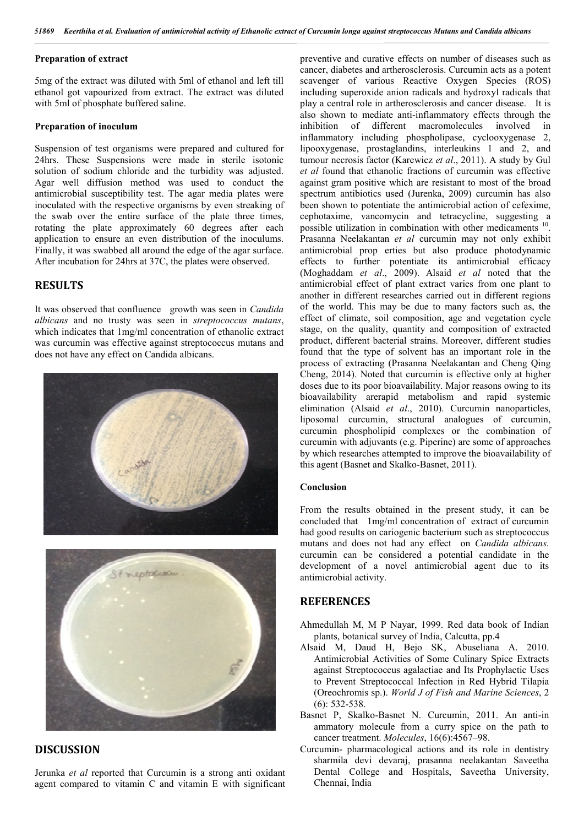#### **Preparation of extract**

5mg of the extract was diluted with 5ml of ethanol and left till ethanol got vapourized from extract. The extract was diluted with 5ml of phosphate buffered saline.

#### **Preparation of inoculum**

Suspension of test organisms were prepared and cultured for 24hrs. These Suspensions were made in sterile isotonic solution of sodium chloride and the turbidity was adjusted. Agar well diffusion method was used to conduct the antimicrobial susceptibility test. The agar media plates were inoculated with the respective organisms by even streaking of the swab over the entire surface of the plate three times, rotating the plate approximately 60 degrees after each application to ensure an even distribution of the inoculums. Finally, it was swabbed all around the edge of the agar surface. After incubation for 24hrs at 37C, the plates were observed.

# **RESULTS**

It was observed that confluence growth was seen in *Candida albicans* and no trusty was seen in *streptococcus mutans*, which indicates that 1mg/ml concentration of ethanolic extract was curcumin was effective against streptococcus mutans and does not have any effect on Candida albicans.





# **DISCUSSION**

Jerunka *et al* reported that Curcumin is a strong anti oxidant agent compared to vitamin C and vitamin E with significant preventive and curative effects on number of diseases such as cancer, diabetes and artherosclerosis. Curcumin acts as a potent scavenger of various Reactive Oxygen Species (ROS) including superoxide anion radicals and hydroxyl radicals that play a central role in artherosclerosis and cancer disease. It is also shown to mediate anti-inflammatory effects through the inhibition of different macromolecules involved in inflammatory including phospholipase, cyclooxygenase 2, lipooxygenase, prostaglandins, interleukins 1 and 2, and tumour necrosis factor (Karewicz *et al*., 2011). A study by Gul *et al* found that ethanolic fractions of curcumin was effective against gram positive which are resistant to most of the broad spectrum antibiotics used (Jurenka, 2009) curcumin has also been shown to potentiate the antimicrobial action of cefexime, cephotaxime, vancomycin and tetracycline, suggesting a possible utilization in combination with other medicaments 10. Prasanna Neelakantan *et al* curcumin may not only exhibit antimicrobial prop erties but also produce photodynamic effects to further potentiate its antimicrobial efficacy (Moghaddam *et al*., 2009). Alsaid *et al* noted that the antimicrobial effect of plant extract varies from one plant to another in different researches carried out in different regions of the world. This may be due to many factors such as, the effect of climate, soil composition, age and vegetation cycle stage, on the quality, quantity and composition of extracted product, different bacterial strains. Moreover, different studies found that the type of solvent has an important role in the process of extracting (Prasanna Neelakantan and Cheng Qing Cheng, 2014). Noted that curcumin is effective only at higher doses due to its poor bioavailability. Major reasons owing to its bioavailability arerapid metabolism and rapid systemic elimination (Alsaid *et al*., 2010). Curcumin nanoparticles, liposomal curcumin, structural analogues of curcumin, curcumin phospholipid complexes or the combination of curcumin with adjuvants (e.g. Piperine) are some of approaches by which researches attempted to improve the bioavailability of this agent (Basnet and Skalko-Basnet, 2011).

#### **Conclusion**

From the results obtained in the present study, it can be concluded that 1mg/ml concentration of extract of curcumin had good results on cariogenic bacterium such as streptococcus mutans and does not had any effect on *Candida albicans.* curcumin can be considered a potential candidate in the development of a novel antimicrobial agent due to its antimicrobial activity.

### **REFERENCES**

- Ahmedullah M, M P Nayar, 1999. Red data book of Indian plants, botanical survey of India, Calcutta, pp.4
- Alsaid M, Daud H, Bejo SK, Abuseliana A. 2010. Antimicrobial Activities of Some Culinary Spice Extracts against Streptococcus agalactiae and Its Prophylactic Uses to Prevent Streptococcal Infection in Red Hybrid Tilapia (Oreochromis sp.). *World J of Fish and Marine Sciences*, 2 (6): 532-538.
- Basnet P, Skalko-Basnet N. Curcumin, 2011. An anti-in ammatory molecule from a curry spice on the path to cancer treatment. *Molecules*, 16(6):4567–98.
- Curcumin- pharmacological actions and its role in dentistry sharmila devi devaraj, prasanna neelakantan Saveetha Dental College and Hospitals, Saveetha University, Chennai, India